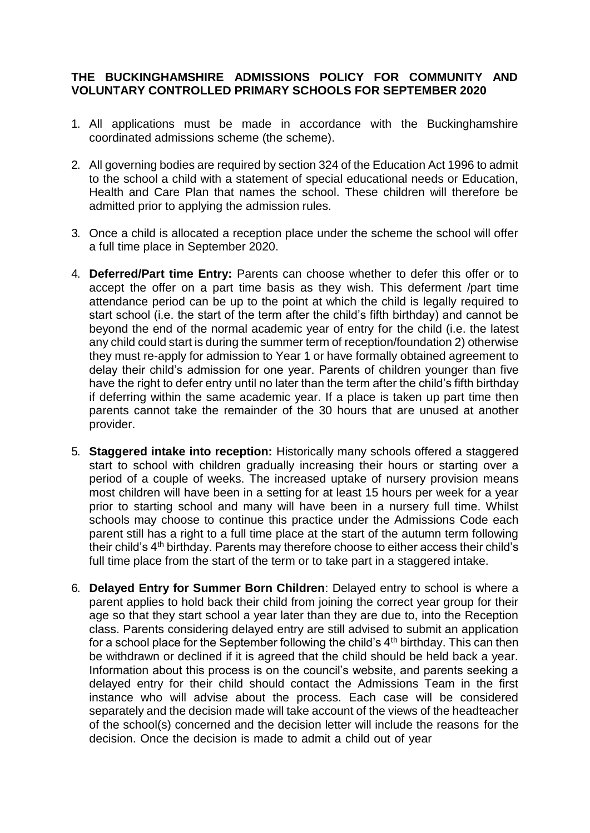## **THE BUCKINGHAMSHIRE ADMISSIONS POLICY FOR COMMUNITY AND VOLUNTARY CONTROLLED PRIMARY SCHOOLS FOR SEPTEMBER 2020**

- 1. All applications must be made in accordance with the Buckinghamshire coordinated admissions scheme (the scheme).
- 2. All governing bodies are required by section 324 of the Education Act 1996 to admit to the school a child with a statement of special educational needs or Education, Health and Care Plan that names the school. These children will therefore be admitted prior to applying the admission rules.
- 3. Once a child is allocated a reception place under the scheme the school will offer a full time place in September 2020.
- 4. **Deferred/Part time Entry:** Parents can choose whether to defer this offer or to accept the offer on a part time basis as they wish. This deferment /part time attendance period can be up to the point at which the child is legally required to start school (i.e. the start of the term after the child's fifth birthday) and cannot be beyond the end of the normal academic year of entry for the child (i.e. the latest any child could start is during the summer term of reception/foundation 2) otherwise they must re-apply for admission to Year 1 or have formally obtained agreement to delay their child's admission for one year. Parents of children younger than five have the right to defer entry until no later than the term after the child's fifth birthday if deferring within the same academic year. If a place is taken up part time then parents cannot take the remainder of the 30 hours that are unused at another provider.
- 5. **Staggered intake into reception:** Historically many schools offered a staggered start to school with children gradually increasing their hours or starting over a period of a couple of weeks. The increased uptake of nursery provision means most children will have been in a setting for at least 15 hours per week for a year prior to starting school and many will have been in a nursery full time. Whilst schools may choose to continue this practice under the Admissions Code each parent still has a right to a full time place at the start of the autumn term following their child's 4th birthday. Parents may therefore choose to either access their child's full time place from the start of the term or to take part in a staggered intake.
- 6. **Delayed Entry for Summer Born Children**: Delayed entry to school is where a parent applies to hold back their child from joining the correct year group for their age so that they start school a year later than they are due to, into the Reception class. Parents considering delayed entry are still advised to submit an application for a school place for the September following the child's  $4<sup>th</sup>$  birthday. This can then be withdrawn or declined if it is agreed that the child should be held back a year. Information about this process is on the council's website, and parents seeking a delayed entry for their child should contact the Admissions Team in the first instance who will advise about the process. Each case will be considered separately and the decision made will take account of the views of the headteacher of the school(s) concerned and the decision letter will include the reasons for the decision. Once the decision is made to admit a child out of year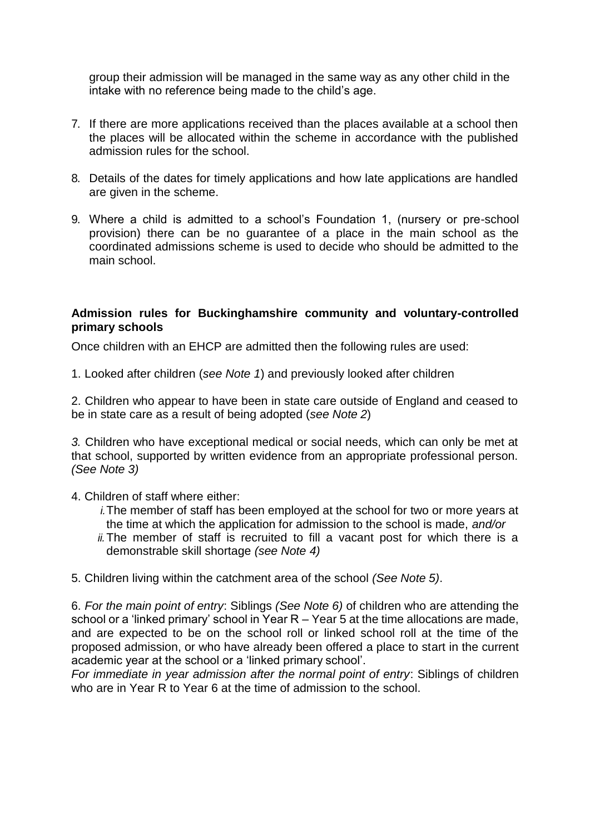group their admission will be managed in the same way as any other child in the intake with no reference being made to the child's age.

- 7. If there are more applications received than the places available at a school then the places will be allocated within the scheme in accordance with the published admission rules for the school.
- 8. Details of the dates for timely applications and how late applications are handled are given in the scheme.
- 9. Where a child is admitted to a school's Foundation 1, (nursery or pre-school provision) there can be no guarantee of a place in the main school as the coordinated admissions scheme is used to decide who should be admitted to the main school.

#### **Admission rules for Buckinghamshire community and voluntary-controlled primary schools**

Once children with an EHCP are admitted then the following rules are used:

1. Looked after children (*see Note 1*) and previously looked after children

2. Children who appear to have been in state care outside of England and ceased to be in state care as a result of being adopted (*see Note 2*)

*3.* Children who have exceptional medical or social needs, which can only be met at that school, supported by written evidence from an appropriate professional person. *(See Note 3)*

4. Children of staff where either:

- *i.*The member of staff has been employed at the school for two or more years at the time at which the application for admission to the school is made, *and/or*
- *ii.*The member of staff is recruited to fill a vacant post for which there is a demonstrable skill shortage *(see Note 4)*

5. Children living within the catchment area of the school *(See Note 5)*.

6. *For the main point of entry*: Siblings *(See Note 6)* of children who are attending the school or a 'linked primary' school in Year R – Year 5 at the time allocations are made, and are expected to be on the school roll or linked school roll at the time of the proposed admission, or who have already been offered a place to start in the current academic year at the school or a 'linked primary school'.

*For immediate in year admission after the normal point of entry*: Siblings of children who are in Year R to Year 6 at the time of admission to the school.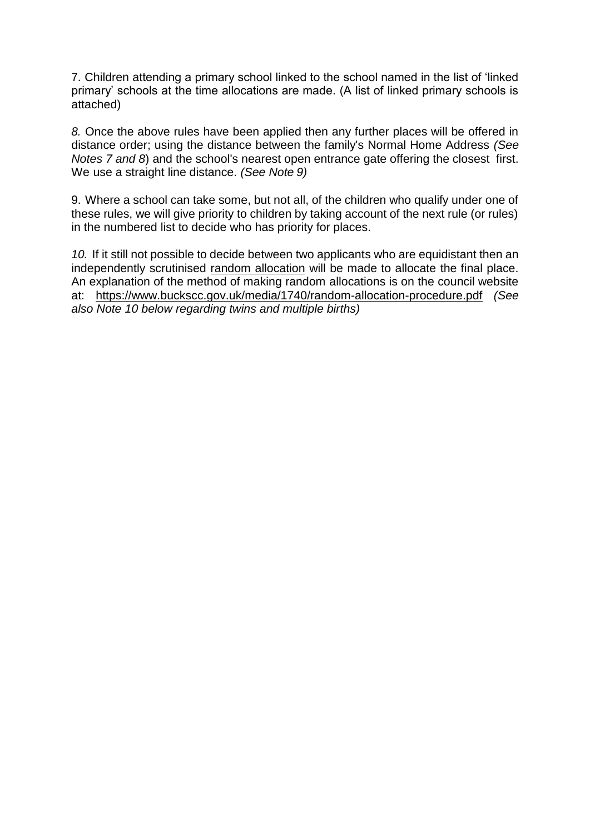7. Children attending a primary school linked to the school named in the list of 'linked primary' schools at the time allocations are made. (A list of linked primary schools is attached)

*8.* Once the above rules have been applied then any further places will be offered in distance order; using the distance between the family's Normal Home Address *(See Notes 7 and 8*) and the school's nearest open entrance gate offering the closest first. We use a straight line distance. *(See Note 9)*

9. Where a school can take some, but not all, of the children who qualify under one of these rules, we will give priority to children by taking account of the next rule (or rules) in the numbered list to decide who has priority for places.

*10.* If it still not possible to decide between two applicants who are equidistant then an independently scrutinised [random allocation](https://www.buckscc.gov.uk/media/1740/random-allocation-procedure.pdf) will be made to allocate the final place. An explanation of the method of making random allocations is on the council website at: <https://www.buckscc.gov.uk/media/1740/random-allocation-procedure.pdf> *(See also Note 10 below regarding twins and multiple births)*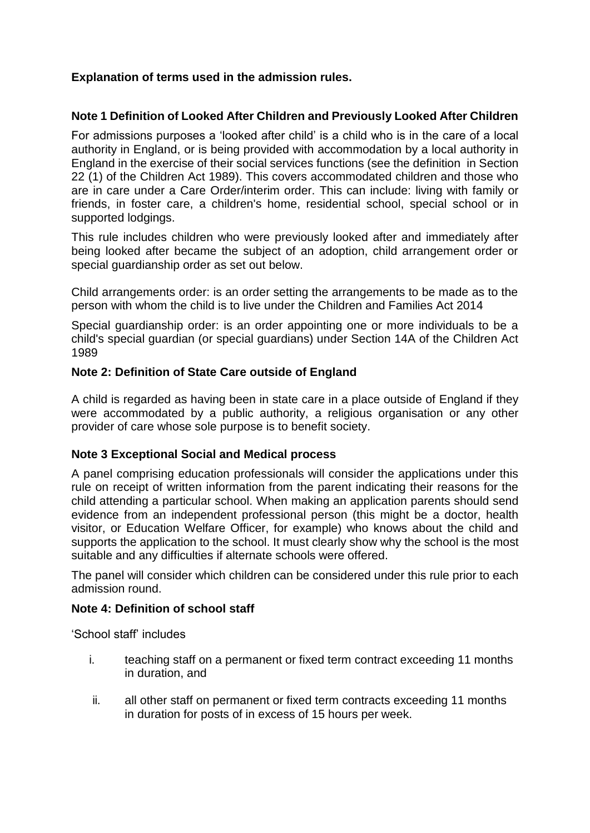# **Explanation of terms used in the admission rules.**

## **Note 1 Definition of Looked After Children and Previously Looked After Children**

For admissions purposes a 'looked after child' is a child who is in the care of a local authority in England, or is being provided with accommodation by a local authority in England in the exercise of their social services functions (see the definition in Section 22 (1) of the Children Act 1989). This covers accommodated children and those who are in care under a Care Order/interim order. This can include: living with family or friends, in foster care, a children's home, residential school, special school or in supported lodgings.

This rule includes children who were previously looked after and immediately after being looked after became the subject of an adoption, child arrangement order or special guardianship order as set out below.

Child arrangements order: is an order setting the arrangements to be made as to the person with whom the child is to live under the Children and Families Act 2014

Special guardianship order: is an order appointing one or more individuals to be a child's special guardian (or special guardians) under Section 14A of the Children Act 1989

## **Note 2: Definition of State Care outside of England**

A child is regarded as having been in state care in a place outside of England if they were accommodated by a public authority, a religious organisation or any other provider of care whose sole purpose is to benefit society.

### **Note 3 Exceptional Social and Medical process**

A panel comprising education professionals will consider the applications under this rule on receipt of written information from the parent indicating their reasons for the child attending a particular school. When making an application parents should send evidence from an independent professional person (this might be a doctor, health visitor, or Education Welfare Officer, for example) who knows about the child and supports the application to the school. It must clearly show why the school is the most suitable and any difficulties if alternate schools were offered.

The panel will consider which children can be considered under this rule prior to each admission round.

### **Note 4: Definition of school staff**

'School staff' includes

- i. teaching staff on a permanent or fixed term contract exceeding 11 months in duration, and
- ii. all other staff on permanent or fixed term contracts exceeding 11 months in duration for posts of in excess of 15 hours per week.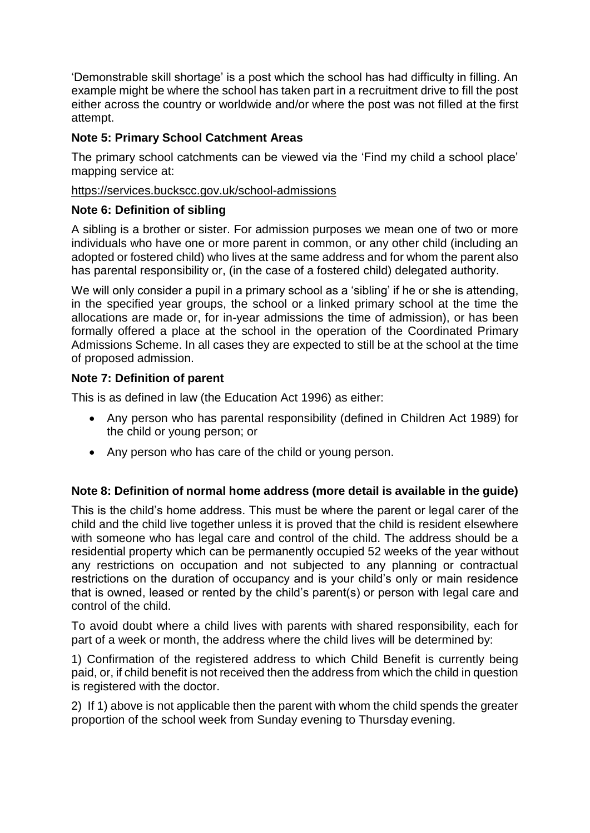'Demonstrable skill shortage' is a post which the school has had difficulty in filling. An example might be where the school has taken part in a recruitment drive to fill the post either across the country or worldwide and/or where the post was not filled at the first attempt.

# **Note 5: Primary School Catchment Areas**

The primary school catchments can be viewed via the 'Find my child a school place' mapping service at:

## <https://services.buckscc.gov.uk/school-admissions>

## **Note 6: Definition of sibling**

A sibling is a brother or sister. For admission purposes we mean one of two or more individuals who have one or more parent in common, or any other child (including an adopted or fostered child) who lives at the same address and for whom the parent also has parental responsibility or, (in the case of a fostered child) delegated authority.

We will only consider a pupil in a primary school as a 'sibling' if he or she is attending, in the specified year groups, the school or a linked primary school at the time the allocations are made or, for in-year admissions the time of admission), or has been formally offered a place at the school in the operation of the Coordinated Primary Admissions Scheme. In all cases they are expected to still be at the school at the time of proposed admission.

## **Note 7: Definition of parent**

This is as defined in law (the Education Act 1996) as either:

- Any person who has parental responsibility (defined in Children Act 1989) for the child or young person; or
- Any person who has care of the child or young person.

## **Note 8: Definition of normal home address (more detail is available in the guide)**

This is the child's home address. This must be where the parent or legal carer of the child and the child live together unless it is proved that the child is resident elsewhere with someone who has legal care and control of the child. The address should be a residential property which can be permanently occupied 52 weeks of the year without any restrictions on occupation and not subjected to any planning or contractual restrictions on the duration of occupancy and is your child's only or main residence that is owned, leased or rented by the child's parent(s) or person with legal care and control of the child.

To avoid doubt where a child lives with parents with shared responsibility, each for part of a week or month, the address where the child lives will be determined by:

1) Confirmation of the registered address to which Child Benefit is currently being paid, or, if child benefit is not received then the address from which the child in question is registered with the doctor.

2) If 1) above is not applicable then the parent with whom the child spends the greater proportion of the school week from Sunday evening to Thursday evening.